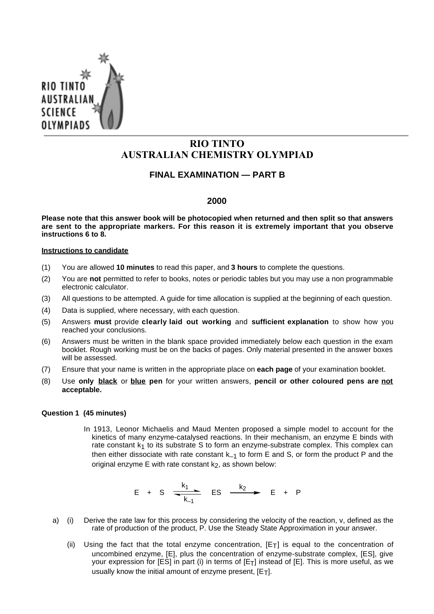

# **RIO TINTO AUSTRALIAN CHEMISTRY OLYMPIAD**

# **FINAL EXAMINATION — PART B**

## **2000**

**Please note that this answer book will be photocopied when returned and then split so that answers are sent to the appropriate markers. For this reason it is extremely important that you observe instructions 6 to 8.**

#### **Instructions to candidate**

- (1) You are allowed **10 minutes** to read this paper, and **3 hours** to complete the questions.
- (2) You are **not** permitted to refer to books, notes or periodic tables but you may use a non programmable electronic calculator.
- (3) All questions to be attempted. A guide for time allocation is supplied at the beginning of each question.
- (4) Data is supplied, where necessary, with each question.
- (5) Answers **must** provide **clearly laid out working** and **sufficient explanation** to show how you reached your conclusions.
- (6) Answers must be written in the blank space provided immediately below each question in the exam booklet. Rough working must be on the backs of pages. Only material presented in the answer boxes will be assessed.
- (7) Ensure that your name is written in the appropriate place on **each page** of your examination booklet.
- (8) Use **only black** or **blue pen** for your written answers, **pencil or other coloured pens are not acceptable.**

#### **Question 1 (45 minutes)**

In 1913, Leonor Michaelis and Maud Menten proposed a simple model to account for the kinetics of many enzyme-catalysed reactions. In their mechanism, an enzyme E binds with rate constant  $k_1$  to its substrate S to form an enzyme-substrate complex. This complex can then either dissociate with rate constant  $k_{-1}$  to form E and S, or form the product P and the original enzyme E with rate constant  $k_2$ , as shown below:

$$
E + S \xrightarrow[k_1]{k_1} ES \xrightarrow[k_2]{k_2} E + P
$$

- a) (i) Derive the rate law for this process by considering the velocity of the reaction, v, defined as the rate of production of the product, P. Use the Steady State Approximation in your answer.
	- (ii) Using the fact that the total enzyme concentration,  $[Et]$  is equal to the concentration of uncombined enzyme, [E], plus the concentration of enzyme-substrate complex, [ES], give your expression for [ES] in part (i) in terms of [ET] instead of [E]. This is more useful, as we usually know the initial amount of enzyme present,  $[E_T]$ .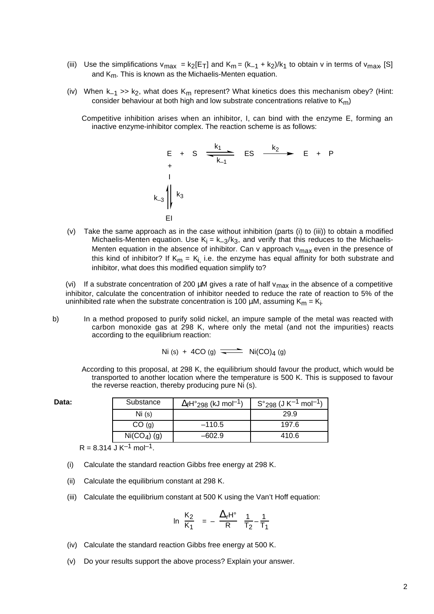- (iii) Use the simplifications  $v_{max} = k_2[E_T]$  and  $K_m = (k_{-1} + k_2)/k_1$  to obtain v in terms of  $v_{max}$  [S] and  $K_m$ . This is known as the Michaelis-Menten equation.
- (iv) When  $k_{-1} >> k_2$ , what does  $K_m$  represent? What kinetics does this mechanism obey? (Hint: consider behaviour at both high and low substrate concentrations relative to  $K_m$ )
	- Competitive inhibition arises when an inhibitor, I, can bind with the enzyme E, forming an inactive enzyme-inhibitor complex. The reaction scheme is as follows:



(v) Take the same approach as in the case without inhibition (parts (i) to (iii)) to obtain a modified Michaelis-Menten equation. Use  $K_i = k_{-3}/k_3$ , and verify that this reduces to the Michaelis-Menten equation in the absence of inhibitor. Can v approach  $v_{max}$  even in the presence of this kind of inhibitor? If  $K_m = K_i$ , i.e. the enzyme has equal affinity for both substrate and inhibitor, what does this modified equation simplify to?

(vi) If a substrate concentration of 200  $\mu$ M gives a rate of half v<sub>max</sub> in the absence of a competitive inhibitor, calculate the concentration of inhibitor needed to reduce the rate of reaction to 5% of the uninhibited rate when the substrate concentration is 100  $\mu$ M, assuming K<sub>m</sub> = K<sub>i</sub>.

b) In a method proposed to purify solid nickel, an impure sample of the metal was reacted with carbon monoxide gas at 298 K, where only the metal (and not the impurities) reacts according to the equilibrium reaction:

 $Ni (s) + 4CO (g) \implies Ni(CO)_4 (g)$ 

According to this proposal, at 298 K, the equilibrium should favour the product, which would be transported to another location where the temperature is 500 K. This is supposed to favour the reverse reaction, thereby producing pure Ni (s).

| Data: | Substance     | $\Delta_f$ H° <sub>298</sub> (kJ mol <sup>-1</sup> ) | $S^{\circ}{}_{298}$ (J K $^{-1}$ mol $^{-1}$ ) |
|-------|---------------|------------------------------------------------------|------------------------------------------------|
|       | Ni(s)         |                                                      | 29.9                                           |
|       | CO(g)         | $-110.5$                                             | 197.6                                          |
|       | $Ni(CO4)$ (g) | $-602.9$                                             | 410.6                                          |

 $R = 8.314 \text{ J K}^{-1} \text{ mol}^{-1}$ .

- (i) Calculate the standard reaction Gibbs free energy at 298 K.
- (ii) Calculate the equilibrium constant at 298 K.
- (iii) Calculate the equilibrium constant at 500 K using the Van't Hoff equation:

$$
\ln\left(\frac{K_2}{K_1}\right) = -\left(\frac{\Delta_r H^\circ}{R}\right)\left(\frac{1}{T_2} - \frac{1}{T_1}\right)
$$

- (iv) Calculate the standard reaction Gibbs free energy at 500 K.
- (v) Do your results support the above process? Explain your answer.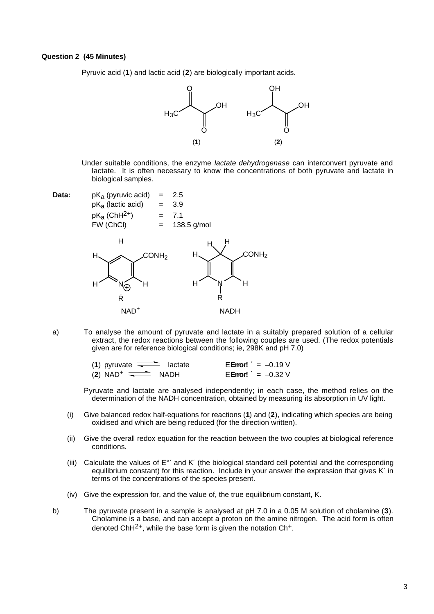#### **Question 2 (45 Minutes)**

Pyruvic acid (**1**) and lactic acid (**2**) are biologically important acids.



- Under suitable conditions, the enzyme lactate dehydrogenase can interconvert pyruvate and lactate. It is often necessary to know the concentrations of both pyruvate and lactate in biological samples.
- 



a) To analyse the amount of pyruvate and lactate in a suitably prepared solution of a cellular extract, the redox reactions between the following couples are used. (The redox potentials given are for reference biological conditions; ie, 298K and pH 7.0)

| (1) pyruvate $\overline{\phantom{nnn}}$ lactate |  | <b>EError!</b> $' = -0.19$ V |
|-------------------------------------------------|--|------------------------------|
| $(2)$ NAD <sup>+</sup> $\longrightarrow$ NADH   |  | <b>EError!</b> $= -0.32$ V   |

Pyruvate and lactate are analysed independently; in each case, the method relies on the determination of the NADH concentration, obtained by measuring its absorption in UV light.

- (i) Give balanced redox half-equations for reactions (**1**) and (**2**), indicating which species are being oxidised and which are being reduced (for the direction written).
- (ii) Give the overall redox equation for the reaction between the two couples at biological reference conditions.
- (iii) Calculate the values of E°′ and K′ (the biological standard cell potential and the corresponding equilibrium constant) for this reaction. Include in your answer the expression that gives K′ in terms of the concentrations of the species present.
- (iv) Give the expression for, and the value of, the true equilibrium constant, K.
- b) The pyruvate present in a sample is analysed at pH 7.0 in a 0.05 M solution of cholamine (**3**). Cholamine is a base, and can accept a proton on the amine nitrogen. The acid form is often denoted ChH<sup>2+</sup>, while the base form is given the notation Ch<sup>+</sup>.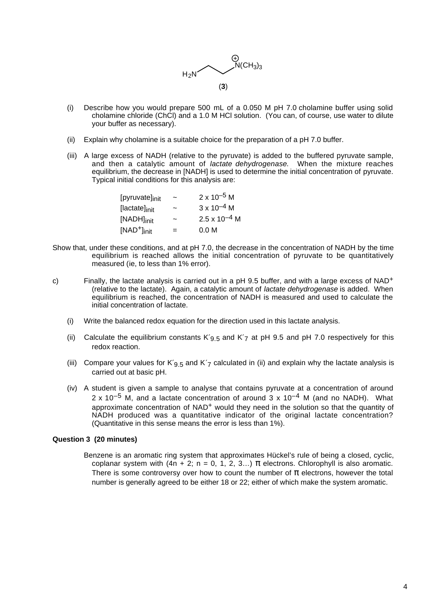

- (i) Describe how you would prepare 500 mL of a 0.050 M pH 7.0 cholamine buffer using solid cholamine chloride (ChCl) and a 1.0 M HCl solution. (You can, of course, use water to dilute your buffer as necessary).
- (ii) Explain why cholamine is a suitable choice for the preparation of a pH 7.0 buffer.
- (iii) A large excess of NADH (relative to the pyruvate) is added to the buffered pyruvate sample, and then a catalytic amount of *lactate dehydrogenase*. When the mixture reaches equilibrium, the decrease in [NADH] is used to determine the initial concentration of pyruvate. Typical initial conditions for this analysis are:

| [pyruvate] <sub>init</sub> | $\tilde{}$            | $2 \times 10^{-5}$ M   |
|----------------------------|-----------------------|------------------------|
| [lactate] <sub>init</sub>  | $\tilde{\phantom{a}}$ | $3 \times 10^{-4}$ M   |
| [NADH] <sub>init</sub>     | ~                     | $2.5 \times 10^{-4}$ M |
| $[NAD^+]_{init}$           | $=$                   | 0.0 <sub>M</sub>       |

- Show that, under these conditions, and at pH 7.0, the decrease in the concentration of NADH by the time equilibrium is reached allows the initial concentration of pyruvate to be quantitatively measured (ie, to less than 1% error).
- c) Finally, the lactate analysis is carried out in a pH 9.5 buffer, and with a large excess of NAD<sup>+</sup> (relative to the lactate). Again, a catalytic amount of lactate dehydrogenase is added. When equilibrium is reached, the concentration of NADH is measured and used to calculate the initial concentration of lactate.
	- (i) Write the balanced redox equation for the direction used in this lactate analysis.
	- (ii) Calculate the equilibrium constants K'<sub>9.5</sub> and K'<sub>7</sub> at pH 9.5 and pH 7.0 respectively for this redox reaction.
	- (iii) Compare your values for K'<sub>9.5</sub> and K'<sub>7</sub> calculated in (ii) and explain why the lactate analysis is carried out at basic pH.
	- (iv) A student is given a sample to analyse that contains pyruvate at a concentration of around  $2 \times 10^{-5}$  M, and a lactate concentration of around  $3 \times 10^{-4}$  M (and no NADH). What approximate concentration of NAD+ would they need in the solution so that the quantity of NADH produced was a quantitative indicator of the original lactate concentration? (Quantitative in this sense means the error is less than 1%).

#### **Question 3 (20 minutes)**

Benzene is an aromatic ring system that approximates Hückel's rule of being a closed, cyclic, coplanar system with  $(4n + 2; n = 0, 1, 2, 3...)$   $\pi$  electrons. Chlorophyll is also aromatic. There is some controversy over how to count the number of  $\pi$  electrons, however the total number is generally agreed to be either 18 or 22; either of which make the system aromatic.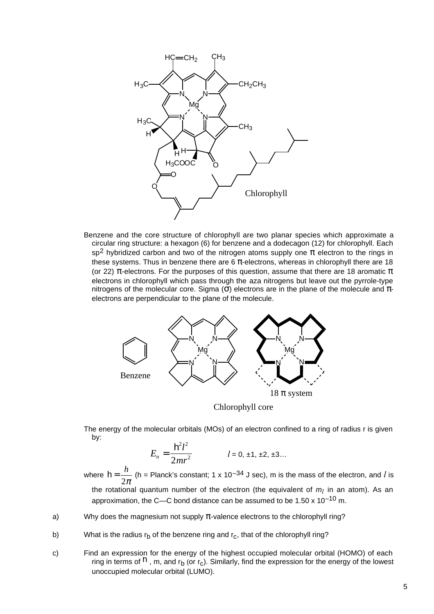

Benzene and the core structure of chlorophyll are two planar species which approximate a circular ring structure: a hexagon (6) for benzene and a dodecagon (12) for chlorophyll. Each sp<sup>2</sup> hybridized carbon and two of the nitrogen atoms supply one π electron to the rings in these systems. Thus in benzene there are 6  $\pi$ -electrons, whereas in chlorophyll there are 18 (or 22) π-electrons. For the purposes of this question, assume that there are 18 aromatic π electrons in chlorophyll which pass through the aza nitrogens but leave out the pyrrole-type nitrogens of the molecular core. Sigma (σ) electrons are in the plane of the molecule and  $π$ electrons are perpendicular to the plane of the molecule.



Chlorophyll core

The energy of the molecular orbitals (MOs) of an electron confined to a ring of radius r is given by:

$$
E_n = \frac{h^2 l^2}{2mr^2}
$$
   
  $l = 0, \pm 1, \pm 2, \pm 3...$ 

where  $h = \frac{h}{2}$  $2\pi$ (h = Planck's constant; 1 x 10<sup>-34</sup> J sec), m is the mass of the electron, and *l* is the rotational quantum number of the electron (the equivalent of  $m_l$  in an atom). As an approximation, the C—C bond distance can be assumed to be  $1.50 \times 10^{-10}$  m.

- a) Why does the magnesium not supply  $\pi$ -valence electrons to the chlorophyll ring?
- b) What is the radius  $r_b$  of the benzene ring and  $r_c$ , that of the chlorophyll ring?
- c) Find an expression for the energy of the highest occupied molecular orbital (HOMO) of each ring in terms of  $h$ , m, and  $r_b$  (or  $r_c$ ). Similarly, find the expression for the energy of the lowest unoccupied molecular orbital (LUMO).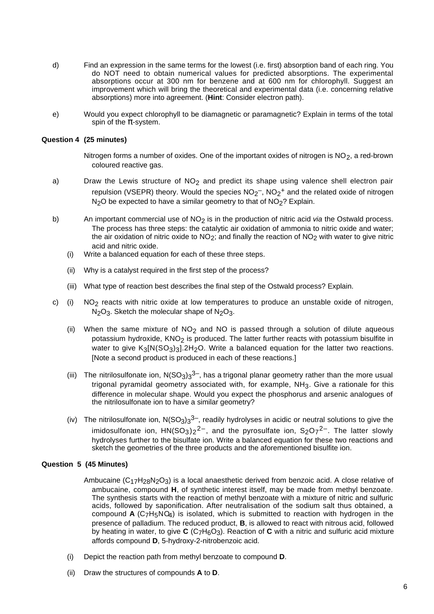- d) Find an expression in the same terms for the lowest (i.e. first) absorption band of each ring. You do NOT need to obtain numerical values for predicted absorptions. The experimental absorptions occur at 300 nm for benzene and at 600 nm for chlorophyll. Suggest an improvement which will bring the theoretical and experimental data (i.e. concerning relative absorptions) more into agreement. (**Hint**: Consider electron path).
- e) Would you expect chlorophyll to be diamagnetic or paramagnetic? Explain in terms of the total spin of the  $\pi$ -system.

## **Question 4 (25 minutes)**

Nitrogen forms a number of oxides. One of the important oxides of nitrogen is  $NO<sub>2</sub>$ , a red-brown coloured reactive gas.

- a) Draw the Lewis structure of  $NO<sub>2</sub>$  and predict its shape using valence shell electron pair repulsion (VSEPR) theory. Would the species  $NO_2^-$ ,  $NO_2^+$  and the related oxide of nitrogen N<sub>2</sub>O be expected to have a similar geometry to that of NO<sub>2</sub>? Explain.
- b) An important commercial use of  $NO<sub>2</sub>$  is in the production of nitric acid via the Ostwald process. The process has three steps: the catalytic air oxidation of ammonia to nitric oxide and water; the air oxidation of nitric oxide to  $NO<sub>2</sub>$ ; and finally the reaction of  $NO<sub>2</sub>$  with water to give nitric acid and nitric oxide.
	- (i) Write a balanced equation for each of these three steps.
	- (ii) Why is a catalyst required in the first step of the process?
	- (iii) What type of reaction best describes the final step of the Ostwald process? Explain.
- c) (i) NO<sub>2</sub> reacts with nitric oxide at low temperatures to produce an unstable oxide of nitrogen, N<sub>2</sub>O<sub>3</sub>. Sketch the molecular shape of N<sub>2</sub>O<sub>3</sub>.
	- (ii) When the same mixture of  $NO<sub>2</sub>$  and NO is passed through a solution of dilute aqueous potassium hydroxide,  $KNO<sub>2</sub>$  is produced. The latter further reacts with potassium bisulfite in water to give  $K_3[N(SO_3)_3].2H_2O$ . Write a balanced equation for the latter two reactions. [Note a second product is produced in each of these reactions.]
	- (iii) The nitrilosulfonate ion,  $N(SO_3)_3^{3-}$ , has a trigonal planar geometry rather than the more usual trigonal pyramidal geometry associated with, for example, NH<sub>3</sub>. Give a rationale for this difference in molecular shape. Would you expect the phosphorus and arsenic analogues of the nitrilosulfonate ion to have a similar geometry?
	- (iv) The nitrilosulfonate ion,  $N(SO_3)3^{3-}$ , readily hydrolyses in acidic or neutral solutions to give the imidosulfonate ion,  $HN(SO<sub>3</sub>)<sub>2</sub><sup>2–</sup>$ , and the pyrosulfate ion,  $S<sub>2</sub>O<sub>7</sub><sup>2–</sup>$ . The latter slowly hydrolyses further to the bisulfate ion. Write a balanced equation for these two reactions and sketch the geometries of the three products and the aforementioned bisulfite ion.

#### **Question 5 (45 Minutes)**

- Ambucaine  $(C_{17}H_{28}N_2O_3)$  is a local anaesthetic derived from benzoic acid. A close relative of ambucaine, compound **H**, of synthetic interest itself, may be made from methyl benzoate. The synthesis starts with the reaction of methyl benzoate with a mixture of nitric and sulfuric acids, followed by saponification. After neutralisation of the sodium salt thus obtained, a compound **A** (C7H5NO4) is isolated, which is submitted to reaction with hydrogen in the presence of palladium. The reduced product, **B**, is allowed to react with nitrous acid, followed by heating in water, to give **C** (C<sub>7</sub>H<sub>6</sub>O<sub>3</sub>). Reaction of **C** with a nitric and sulfuric acid mixture affords compound **D**, 5-hydroxy-2-nitrobenzoic acid.
- (i) Depict the reaction path from methyl benzoate to compound **D**.
- (ii) Draw the structures of compounds **A** to **D**.